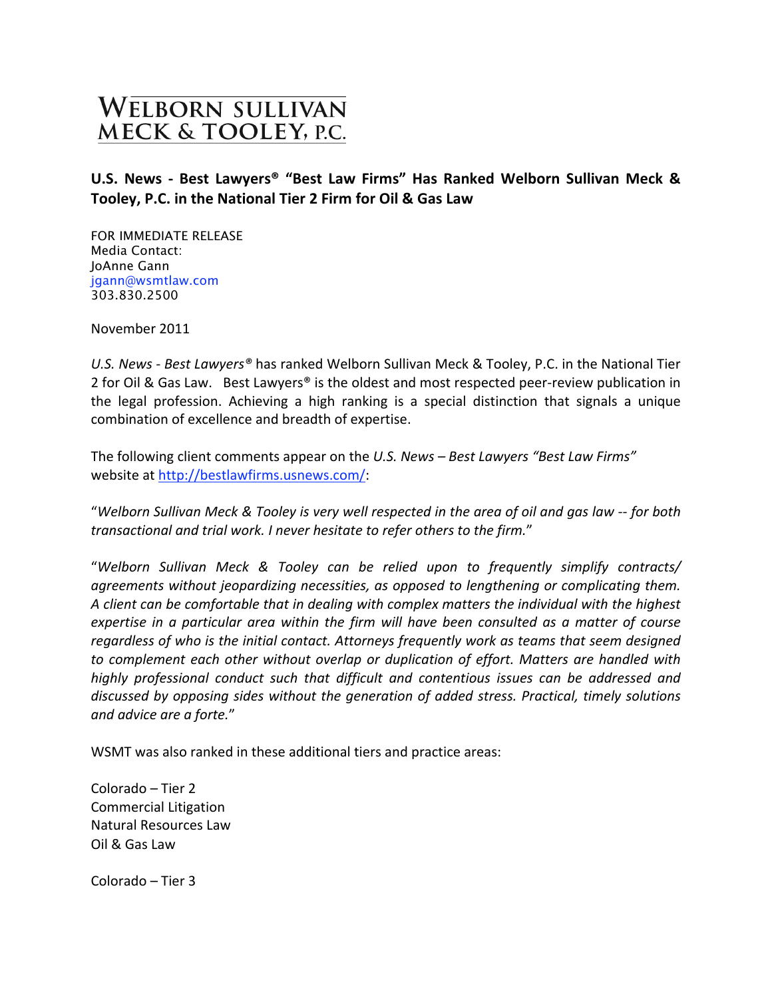## **WELBORN SULLIVAN** MECK & TOOLEY, P.C.

## U.S. News - Best Lawyers<sup>®</sup> "Best Law Firms" Has Ranked Welborn Sullivan Meck & **Tooley,
P.C.
in
the
National
Tier
2
Firm
for
Oil
&
Gas
Law**

FOR IMMEDIATE RELEASE Media Contact: JoAnne Gann jgann@wsmtlaw.com 303.830.2500

November
2011

U.S. News - Best Lawyers<sup>®</sup> has ranked Welborn Sullivan Meck & Tooley, P.C. in the National Tier 2 for Oil & Gas Law. Best Lawyers® is the oldest and most respected peer-review publication in the legal profession. Achieving a high ranking is a special distinction that signals a unique combination
of
excellence
and
breadth
of
expertise.

The following client comments appear on the U.S. News - Best Lawyers "Best Law Firms" website
at
http://bestlawfirms.usnews.com/:

"Welborn Sullivan Meck & Tooley is very well respected in the area of oil and gas law -- for both *transactional
and
trial
work.
I
never
hesitate
to
refer
others
to
the
firm.*"

"*Welborn
 Sullivan
 Meck
 &
 Tooley
 can
 be
 relied
 upon
 to
 frequently
 simplify
 contracts/*  agreements without jeopardizing necessities, as opposed to lengthening or complicating them. A client can be comfortable that in dealing with complex matters the individual with the highest expertise in a particular area within the firm will have been consulted as a matter of course *regardless
of
who
is
the
initial
contact.
Attorneys
frequently
work
as
teams
that
seem
designed*  to complement each other without overlap or duplication of effort. Matters are handled with highly professional conduct such that difficult and contentious issues can be addressed and discussed by opposing sides without the generation of added stress. Practical, timely solutions *and
advice
are
a
forte.*"

WSMT was also ranked in these additional tiers and practice areas:

Colorado
–
Tier
2 Commercial
Litigation Natural
Resources
Law Oil
&
Gas
Law

Colorado
–
Tier
3